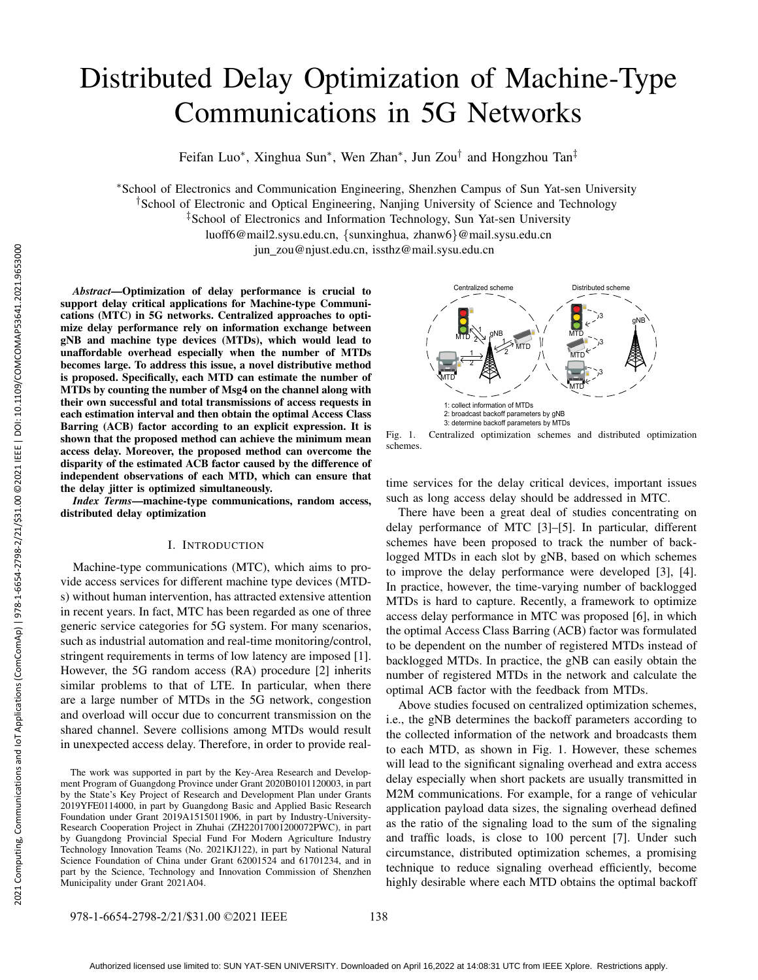# Distributed Delay Optimization of Machine-Type Communications in 5G Networks

Feifan Luo\*, Xinghua Sun\*, Wen Zhan\*, Jun Zou<sup>†</sup> and Hongzhou Tan<sup>‡</sup>

<sup>∗</sup>School of Electronics and Communication Engineering, Shenzhen Campus of Sun Yat-sen University †School of Electronic and Optical Engineering, Nanjing University of Science and Technology

‡School of Electronics and Information Technology, Sun Yat-sen University

luoff6@mail2.sysu.edu.cn, {sunxinghua, zhanw6}@mail.sysu.edu.cn

jun zou@njust.edu.cn, issthz@mail.sysu.edu.cn

*Abstract*—Optimization of delay performance is crucial to support delay critical applications for Machine-type Communications (MTC) in 5G networks. Centralized approaches to optimize delay performance rely on information exchange between gNB and machine type devices (MTDs), which would lead to unaffordable overhead especially when the number of MTDs becomes large. To address this issue, a novel distributive method is proposed. Specifically, each MTD can estimate the number of MTDs by counting the number of Msg4 on the channel along with their own successful and total transmissions of access requests in each estimation interval and then obtain the optimal Access Class Barring (ACB) factor according to an explicit expression. It is shown that the proposed method can achieve the minimum mean access delay. Moreover, the proposed method can overcome the disparity of the estimated ACB factor caused by the difference of independent observations of each MTD, which can ensure that the delay jitter is optimized simultaneously. 30.00 (iii) 200.00 (iii) 200.00 (iii) 201.00 (iii) 201.00 (iii) 201.00 (iii) 201.00 (iii) 201.00 (iii) 201.00 (iii) 201.00 (iii) 201.00 (iii) 201.00 (iii) 201.00 (iii) 201.00 (iii) 201.00 (iii) 201.00 (iii) 201.00 (iii)

*Index Terms*—machine-type communications, random access, distributed delay optimization

# I. INTRODUCTION

Machine-type communications (MTC), which aims to provide access services for different machine type devices (MTDs) without human intervention, has attracted extensive attention in recent years. In fact, MTC has been regarded as one of three generic service categories for 5G system. For many scenarios, such as industrial automation and real-time monitoring/control, stringent requirements in terms of low latency are imposed [1]. However, the 5G random access (RA) procedure [2] inherits similar problems to that of LTE. In particular, when there are a large number of MTDs in the 5G network, congestion and overload will occur due to concurrent transmission on the shared channel. Severe collisions among MTDs would result in unexpected access delay. Therefore, in order to provide real-

The work was supported in part by the Key-Area Research and Development Program of Guangdong Province under Grant 2020B0101120003, in part by the State's Key Project of Research and Development Plan under Grants 2019YFE0114000, in part by Guangdong Basic and Applied Basic Research Foundation under Grant 2019A1515011906, in part by Industry-University-Research Cooperation Project in Zhuhai (ZH22017001200072PWC), in part by Guangdong Provincial Special Fund For Modern Agriculture Industry Technology Innovation Teams (No. 2021KJ122), in part by National Natural Science Foundation of China under Grant 62001524 and 61701234, and in part by the Science, Technology and Innovation Commission of Shenzhen Municipality under Grant 2021A04.



Fig. 1. Centralized optimization schemes and distributed optimization schemes.

time services for the delay critical devices, important issues such as long access delay should be addressed in MTC.

There have been a great deal of studies concentrating on delay performance of MTC [3]–[5]. In particular, different schemes have been proposed to track the number of backlogged MTDs in each slot by gNB, based on which schemes to improve the delay performance were developed [3], [4]. In practice, however, the time-varying number of backlogged MTDs is hard to capture. Recently, a framework to optimize access delay performance in MTC was proposed [6], in which the optimal Access Class Barring (ACB) factor was formulated to be dependent on the number of registered MTDs instead of backlogged MTDs. In practice, the gNB can easily obtain the number of registered MTDs in the network and calculate the optimal ACB factor with the feedback from MTDs.

Above studies focused on centralized optimization schemes, i.e., the gNB determines the backoff parameters according to the collected information of the network and broadcasts them to each MTD, as shown in Fig. 1. However, these schemes will lead to the significant signaling overhead and extra access delay especially when short packets are usually transmitted in M2M communications. For example, for a range of vehicular application payload data sizes, the signaling overhead defined as the ratio of the signaling load to the sum of the signaling and traffic loads, is close to 100 percent [7]. Under such circumstance, distributed optimization schemes, a promising technique to reduce signaling overhead efficiently, become highly desirable where each MTD obtains the optimal backoff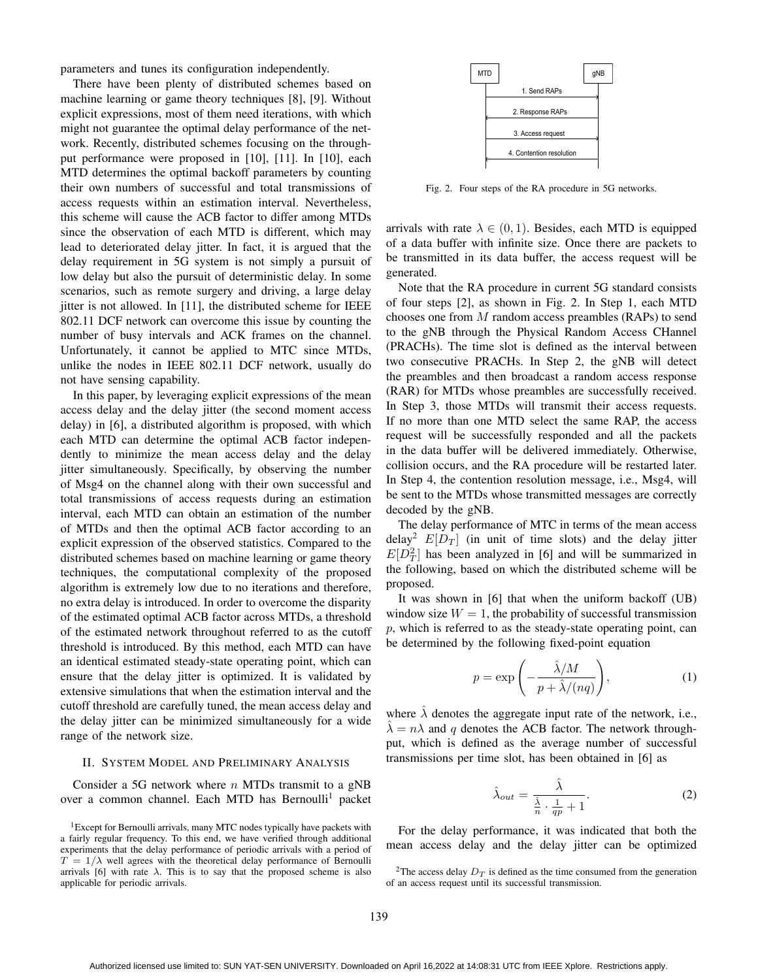parameters and tunes its configuration independently.

There have been plenty of distributed schemes based on machine learning or game theory techniques [8], [9]. Without explicit expressions, most of them need iterations, with which might not guarantee the optimal delay performance of the network. Recently, distributed schemes focusing on the throughput performance were proposed in [10], [11]. In [10], each MTD determines the optimal backoff parameters by counting their own numbers of successful and total transmissions of access requests within an estimation interval. Nevertheless, this scheme will cause the ACB factor to differ among MTDs since the observation of each MTD is different, which may lead to deteriorated delay jitter. In fact, it is argued that the delay requirement in 5G system is not simply a pursuit of low delay but also the pursuit of deterministic delay. In some scenarios, such as remote surgery and driving, a large delay jitter is not allowed. In [11], the distributed scheme for IEEE 802.11 DCF network can overcome this issue by counting the number of busy intervals and ACK frames on the channel. Unfortunately, it cannot be applied to MTC since MTDs, unlike the nodes in IEEE 802.11 DCF network, usually do not have sensing capability.

In this paper, by leveraging explicit expressions of the mean access delay and the delay jitter (the second moment access delay) in [6], a distributed algorithm is proposed, with which each MTD can determine the optimal ACB factor independently to minimize the mean access delay and the delay jitter simultaneously. Specifically, by observing the number of Msg4 on the channel along with their own successful and total transmissions of access requests during an estimation interval, each MTD can obtain an estimation of the number of MTDs and then the optimal ACB factor according to an explicit expression of the observed statistics. Compared to the distributed schemes based on machine learning or game theory techniques, the computational complexity of the proposed algorithm is extremely low due to no iterations and therefore, no extra delay is introduced. In order to overcome the disparity of the estimated optimal ACB factor across MTDs, a threshold of the estimated network throughout referred to as the cutoff threshold is introduced. By this method, each MTD can have an identical estimated steady-state operating point, which can ensure that the delay jitter is optimized. It is validated by extensive simulations that when the estimation interval and the cutoff threshold are carefully tuned, the mean access delay and the delay jitter can be minimized simultaneously for a wide range of the network size.

## II. SYSTEM MODEL AND PRELIMINARY ANALYSIS

Consider a 5G network where  $n$  MTDs transmit to a gNB over a common channel. Each MTD has Bernoulli<sup>1</sup> packet

<sup>1</sup>Except for Bernoulli arrivals, many MTC nodes typically have packets with a fairly regular frequency. To this end, we have verified through additional experiments that the delay performance of periodic arrivals with a period of  $T = 1/\lambda$  well agrees with the theoretical delay performance of Bernoulli arrivals [6] with rate  $\lambda$ . This is to say that the proposed scheme is also applicable for periodic arrivals.



Fig. 2. Four steps of the RA procedure in 5G networks.

arrivals with rate  $\lambda \in (0, 1)$ . Besides, each MTD is equipped of a data buffer with infinite size. Once there are packets to be transmitted in its data buffer, the access request will be generated.

Note that the RA procedure in current 5G standard consists of four steps [2], as shown in Fig. 2. In Step 1, each MTD chooses one from M random access preambles (RAPs) to send to the gNB through the Physical Random Access CHannel (PRACHs). The time slot is defined as the interval between two consecutive PRACHs. In Step 2, the gNB will detect the preambles and then broadcast a random access response (RAR) for MTDs whose preambles are successfully received. In Step 3, those MTDs will transmit their access requests. If no more than one MTD select the same RAP, the access request will be successfully responded and all the packets in the data buffer will be delivered immediately. Otherwise, collision occurs, and the RA procedure will be restarted later. In Step 4, the contention resolution message, i.e., Msg4, will be sent to the MTDs whose transmitted messages are correctly decoded by the gNB.

The delay performance of MTC in terms of the mean access delay<sup>2</sup>  $E[D_T]$  (in unit of time slots) and the delay jitter  $E[D_T^2]$  has been analyzed in [6] and will be summarized in the following, based on which the distributed scheme will be proposed.

It was shown in [6] that when the uniform backoff (UB) window size  $W = 1$ , the probability of successful transmission  $p$ , which is referred to as the steady-state operating point, can be determined by the following fixed-point equation

$$
p = \exp\left(-\frac{\hat{\lambda}/M}{p + \hat{\lambda}/(nq)}\right),\tag{1}
$$

where  $\hat{\lambda}$  denotes the aggregate input rate of the network, i.e.,  $\hat{\lambda} = n\lambda$  and q denotes the ACB factor. The network throughput, which is defined as the average number of successful transmissions per time slot, has been obtained in [6] as

$$
\hat{\lambda}_{out} = \frac{\hat{\lambda}}{\frac{\hat{\lambda}}{n} \cdot \frac{1}{qp} + 1}.
$$
\n(2)

For the delay performance, it was indicated that both the mean access delay and the delay jitter can be optimized

<sup>&</sup>lt;sup>2</sup>The access delay  $D_T$  is defined as the time consumed from the generation of an access request until its successful transmission.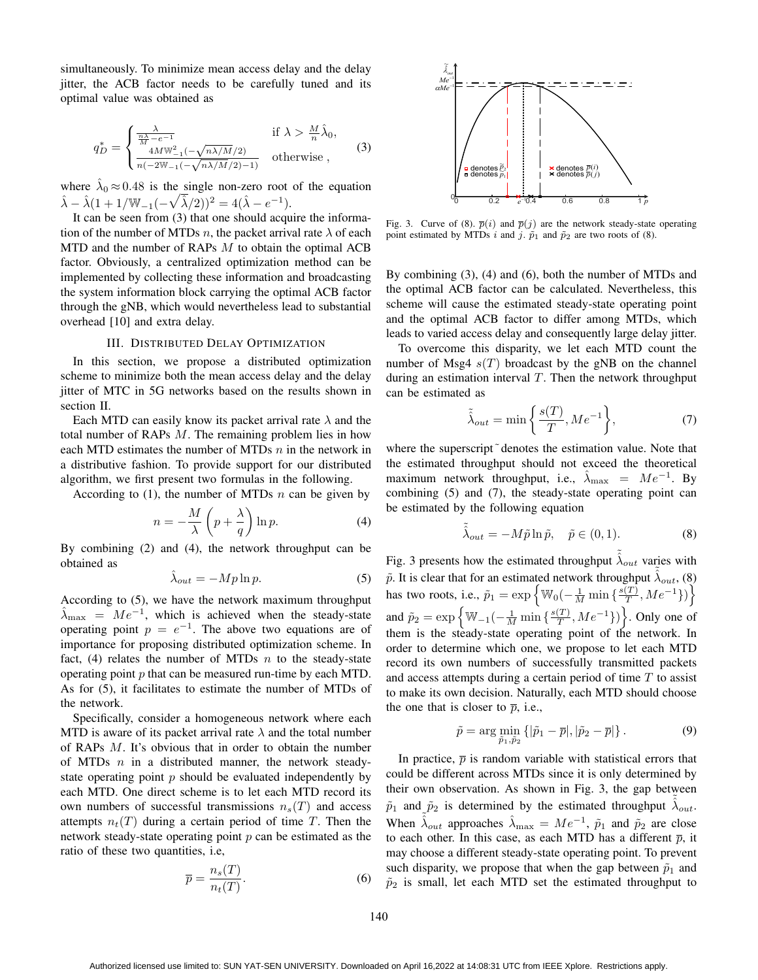simultaneously. To minimize mean access delay and the delay jitter, the ACB factor needs to be carefully tuned and its optimal value was obtained as

$$
q_D^* = \begin{cases} \frac{\lambda}{\frac{n\lambda}{M} - e^{-1}} & \text{if } \lambda > \frac{M}{n}\hat{\lambda}_0, \\ \frac{4M \mathbf{W}_{-1}^2(-\sqrt{n\lambda/M}/2)}{n(-2\mathbf{W}_{-1}(-\sqrt{n\lambda/M}/2) - 1)} & \text{otherwise} \end{cases} \tag{3}
$$

where  $\hat{\lambda}_0 \approx 0.48$  is the single non-zero root of the equation  $\hat{\lambda} - \hat{\lambda}(1 + 1/\mathbb{W}_{-1}(-\sqrt{\hat{\lambda}}/2))^2 = 4(\hat{\lambda} - e^{-1}).$ 

It can be seen from (3) that one should acquire the information of the number of MTDs n, the packet arrival rate  $\lambda$  of each MTD and the number of RAPs M to obtain the optimal ACB factor. Obviously, a centralized optimization method can be implemented by collecting these information and broadcasting the system information block carrying the optimal ACB factor through the gNB, which would nevertheless lead to substantial overhead [10] and extra delay.

#### III. DISTRIBUTED DELAY OPTIMIZATION

In this section, we propose a distributed optimization scheme to minimize both the mean access delay and the delay jitter of MTC in 5G networks based on the results shown in section II.

Each MTD can easily know its packet arrival rate  $\lambda$  and the total number of RAPs  $M$ . The remaining problem lies in how each MTD estimates the number of MTDs  $n$  in the network in a distributive fashion. To provide support for our distributed algorithm, we first present two formulas in the following.

According to (1), the number of MTDs  $n$  can be given by

$$
n = -\frac{M}{\lambda} \left( p + \frac{\lambda}{q} \right) \ln p. \tag{4}
$$

By combining (2) and (4), the network throughput can be obtained as

$$
\hat{\lambda}_{out} = -Mp \ln p. \tag{5}
$$

According to (5), we have the network maximum throughput  $\hat{\lambda}_{\text{max}} = Me^{-1}$ , which is achieved when the steady-state operating point  $p = e^{-1}$ . The above two equations are of importance for proposing distributed optimization scheme. In fact, (4) relates the number of MTDs  $n$  to the steady-state operating point  $p$  that can be measured run-time by each MTD. As for (5), it facilitates to estimate the number of MTDs of the network.

Specifically, consider a homogeneous network where each MTD is aware of its packet arrival rate  $\lambda$  and the total number of RAPs M. It's obvious that in order to obtain the number of MTDs  $n$  in a distributed manner, the network steadystate operating point  $p$  should be evaluated independently by each MTD. One direct scheme is to let each MTD record its own numbers of successful transmissions  $n_s(T)$  and access attempts  $n_t(T)$  during a certain period of time T. Then the network steady-state operating point  $p$  can be estimated as the ratio of these two quantities, i.e,

$$
\overline{p} = \frac{n_s(T)}{n_t(T)}.
$$
\n(6)



Fig. 3. Curve of (8).  $\overline{p}(i)$  and  $\overline{p}(j)$  are the network steady-state operating point estimated by MTDs i and j.  $\tilde{p}_1$  and  $\tilde{p}_2$  are two roots of (8).

By combining (3), (4) and (6), both the number of MTDs and the optimal ACB factor can be calculated. Nevertheless, this scheme will cause the estimated steady-state operating point and the optimal ACB factor to differ among MTDs, which leads to varied access delay and consequently large delay jitter.

To overcome this disparity, we let each MTD count the number of Msg4  $s(T)$  broadcast by the gNB on the channel during an estimation interval  $T$ . Then the network throughput can be estimated as

$$
\tilde{\lambda}_{out} = \min\left\{\frac{s(T)}{T}, Me^{-1}\right\},\tag{7}
$$

where the superscript<sup> $\tilde{\ }$ </sup> denotes the estimation value. Note that the estimated throughput should not exceed the theoretical maximum network throughput, i.e.,  $\hat{\lambda}_{\text{max}} = Me^{-1}$ . By combining (5) and (7), the steady-state operating point can be estimated by the following equation

$$
\tilde{\hat{\lambda}}_{out} = -M\tilde{p}\ln\tilde{p}, \quad \tilde{p} \in (0,1). \tag{8}
$$

Fig. 3 presents how the estimated throughput  $\tilde{\lambda}_{out}$  varies with  $\tilde{p}$ . It is clear that for an estimated network throughput  $\tilde{\lambda}_{out}$ , (8) has two roots, i.e.,  $\tilde{p}_1 = \exp\left\{\mathbb{W}_0(-\frac{1}{M}\min\left\{\frac{s(T)}{T}\right)\right\}$  $\left(\overline{\frac{T}{T}}, M e^{-1}\right)\right\}$ and  $\tilde{p}_2 = \exp \left\{ \mathbb{W}_{-1}(-\frac{1}{M} \min \left\{ \frac{s(T)}{T} \right) \right\}$  $\left\{ \frac{T}{T}, Me^{-1} \right\}$  >  $\}$ . Only one of them is the steady-state operating point of the network. In order to determine which one, we propose to let each MTD record its own numbers of successfully transmitted packets and access attempts during a certain period of time  $T$  to assist to make its own decision. Naturally, each MTD should choose the one that is closer to  $\bar{p}$ , i.e.,

$$
\tilde{p} = \arg\min_{\tilde{p}_1, \tilde{p}_2} \left\{ |\tilde{p}_1 - \overline{p}|, |\tilde{p}_2 - \overline{p}| \right\}. \tag{9}
$$

In practice,  $\bar{p}$  is random variable with statistical errors that could be different across MTDs since it is only determined by their own observation. As shown in Fig. 3, the gap between  $\tilde{p}_1$  and  $\tilde{p}_2$  is determined by the estimated throughput  $\tilde{\lambda}_{out}$ . When  $\hat{\lambda}_{out}$  approaches  $\hat{\lambda}_{max} = Me^{-1}$ ,  $\tilde{p}_1$  and  $\tilde{p}_2$  are close to each other. In this case, as each MTD has a different  $\bar{p}$ , it may choose a different steady-state operating point. To prevent such disparity, we propose that when the gap between  $\tilde{p}_1$  and  $\tilde{p}_2$  is small, let each MTD set the estimated throughput to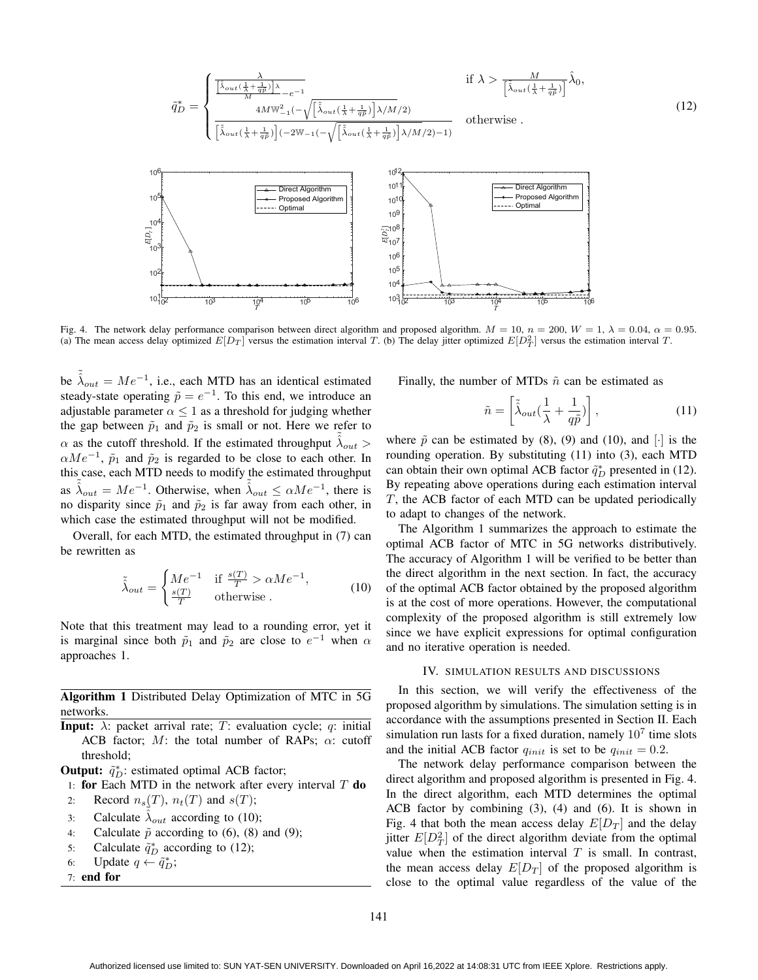$$
\tilde{q}_D^* = \begin{cases}\n\frac{\lambda}{\left[\tilde{\lambda}_{out}(\frac{1}{\lambda} + \frac{1}{q\tilde{p}})\right]\lambda}_{e^{-\alpha}} - \frac{1}{\left[\tilde{\lambda}_{out}(\frac{1}{\lambda} + \frac{1}{q\tilde{p}})\right]\lambda/M/2} & \text{if } \lambda > \frac{M}{\left[\tilde{\lambda}_{out}(\frac{1}{\lambda} + \frac{1}{q\tilde{p}})\right]}\hat{\lambda}_0, \\
\frac{4M \mathbb{W}_{-1}^2(-\sqrt{\left[\tilde{\lambda}_{out}(\frac{1}{\lambda} + \frac{1}{q\tilde{p}})\right]\lambda/M/2})}{\left[\tilde{\lambda}_{out}(\frac{1}{\lambda} + \frac{1}{q\tilde{p}})\right](-2\mathbb{W}_{-1}(-\sqrt{\left[\tilde{\lambda}_{out}(\frac{1}{\lambda} + \frac{1}{q\tilde{p}})\right]\lambda/M/2)-1)} & \text{otherwise} .\n\end{cases}
$$
\n(12)



Fig. 4. The network delay performance comparison between direct algorithm and proposed algorithm.  $M = 10$ ,  $n = 200$ ,  $W = 1$ ,  $\lambda = 0.04$ ,  $\alpha = 0.95$ . (a) The mean access delay optimized  $E[D_T]$  versus the estimation interval T. (b) The delay jitter optimized  $E[D_T^2]$  versus the estimation interval T.

be  $\tilde{\lambda}_{out} = Me^{-1}$ , i.e., each MTD has an identical estimated steady-state operating  $\tilde{p} = e^{-1}$ . To this end, we introduce an adjustable parameter  $\alpha \leq 1$  as a threshold for judging whether the gap between  $\tilde{p}_1$  and  $\tilde{p}_2$  is small or not. Here we refer to  $\alpha$  as the cutoff threshold. If the estimated throughput  $\tilde{\lambda}_{out}$  $\alpha Me^{-1}$ ,  $\tilde{p}_1$  and  $\tilde{p}_2$  is regarded to be close to each other. In this case, each MTD needs to modify the estimated throughput as  $\tilde{\lambda}_{out} = Me^{-1}$ . Otherwise, when  $\tilde{\lambda}_{out} \le \alpha Me^{-1}$ , there is no disparity since  $\tilde{p}_1$  and  $\tilde{p}_2$  is far away from each other, in which case the estimated throughput will not be modified.

Overall, for each MTD, the estimated throughput in (7) can be rewritten as

$$
\tilde{\lambda}_{out} = \begin{cases}\nMe^{-1} & \text{if } \frac{s(T)}{T} > \alpha Me^{-1}, \\
\frac{s(T)}{T} & \text{otherwise}\n\end{cases}
$$
\n(10)

Note that this treatment may lead to a rounding error, yet it is marginal since both  $\tilde{p}_1$  and  $\tilde{p}_2$  are close to  $e^{-1}$  when  $\alpha$ approaches 1.

Algorithm 1 Distributed Delay Optimization of MTC in 5G networks.

**Input:**  $\lambda$ : packet arrival rate; T: evaluation cycle; q: initial ACB factor; M: the total number of RAPs;  $\alpha$ : cutoff threshold;

**Output:**  $\tilde{q}_D^*$ : estimated optimal ACB factor;

- 1: for Each MTD in the network after every interval  $T$  do
- 2: Record  $n_s(T)$ ,  $n_t(T)$  and  $s(T)$ ;
- 3: Calculate  $\hat{\lambda}_{out}$  according to (10);
- 4: Calculate  $\tilde{p}$  according to (6), (8) and (9);
- 5: Calculate  $\tilde{q}_D^*$  according to (12);
- 6: Update  $q \leftarrow \tilde{q}_D^*$ ;
- 7: end for

Finally, the number of MTDs  $\tilde{n}$  can be estimated as

$$
\tilde{n} = \left[ \tilde{\lambda}_{out} \left( \frac{1}{\lambda} + \frac{1}{q\tilde{p}} \right) \right],\tag{11}
$$

where  $\tilde{p}$  can be estimated by (8), (9) and (10), and [ $\cdot$ ] is the rounding operation. By substituting (11) into (3), each MTD can obtain their own optimal ACB factor  $\tilde{q}_D^*$  presented in (12). By repeating above operations during each estimation interval T, the ACB factor of each MTD can be updated periodically to adapt to changes of the network.

The Algorithm 1 summarizes the approach to estimate the optimal ACB factor of MTC in 5G networks distributively. The accuracy of Algorithm 1 will be verified to be better than the direct algorithm in the next section. In fact, the accuracy of the optimal ACB factor obtained by the proposed algorithm is at the cost of more operations. However, the computational complexity of the proposed algorithm is still extremely low since we have explicit expressions for optimal configuration and no iterative operation is needed.

#### IV. SIMULATION RESULTS AND DISCUSSIONS

In this section, we will verify the effectiveness of the proposed algorithm by simulations. The simulation setting is in accordance with the assumptions presented in Section II. Each simulation run lasts for a fixed duration, namely  $10<sup>7</sup>$  time slots and the initial ACB factor  $q_{init}$  is set to be  $q_{init} = 0.2$ .

The network delay performance comparison between the direct algorithm and proposed algorithm is presented in Fig. 4. In the direct algorithm, each MTD determines the optimal ACB factor by combining (3), (4) and (6). It is shown in Fig. 4 that both the mean access delay  $E[D_T]$  and the delay jitter  $E[D_T^2]$  of the direct algorithm deviate from the optimal value when the estimation interval  $T$  is small. In contrast, the mean access delay  $E[D_T]$  of the proposed algorithm is close to the optimal value regardless of the value of the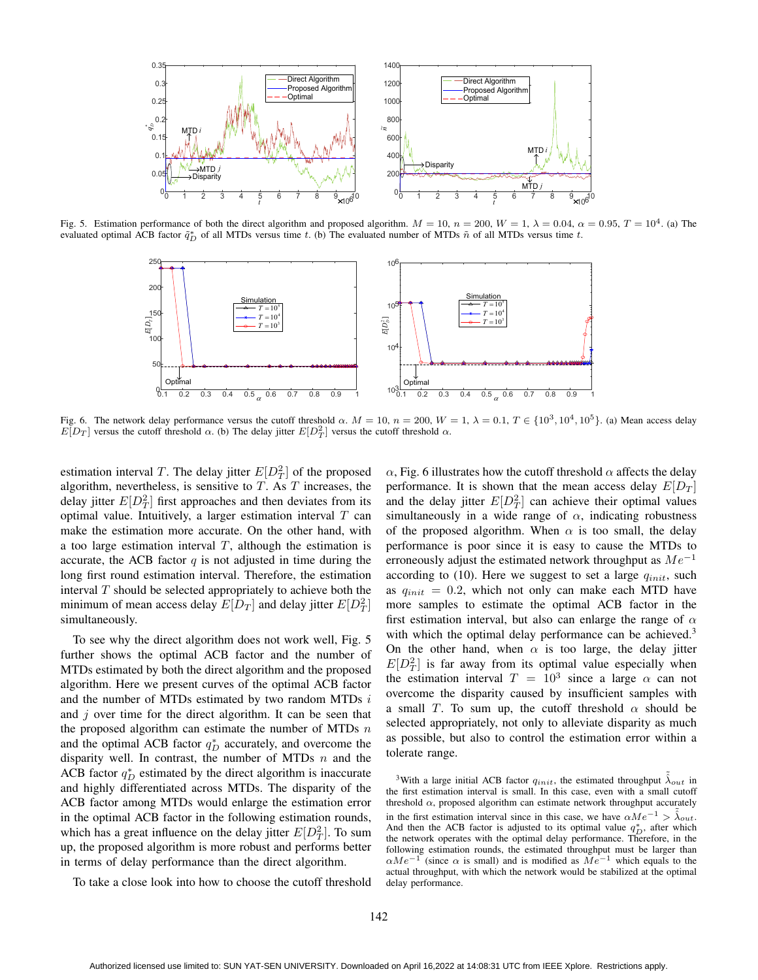

Fig. 5. Estimation performance of both the direct algorithm and proposed algorithm.  $M = 10$ ,  $n = 200$ ,  $W = 1$ ,  $\lambda = 0.04$ ,  $\alpha = 0.95$ ,  $T = 10^4$ . (a) The evaluated optimal ACB factor  $\tilde{q}_D^*$  of all MTDs versus time t. (b) The evaluated number of MTDs  $\tilde{n}$  of all MTDs versus time t.



Fig. 6. The network delay performance versus the cutoff threshold  $\alpha$ .  $M = 10$ ,  $n = 200$ ,  $W = 1$ ,  $\lambda = 0.1$ ,  $T \in \{10^3, 10^4, 10^5\}$ . (a) Mean access delay  $E[D_T]$  versus the cutoff threshold  $\alpha$ . (b) The delay jitter  $E[D_T^2]$  versus the cutoff threshold  $\alpha$ .

estimation interval T. The delay jitter  $E[D_T^2]$  of the proposed algorithm, nevertheless, is sensitive to  $T$ . As  $T$  increases, the delay jitter  $E[D_T^2]$  first approaches and then deviates from its optimal value. Intuitively, a larger estimation interval  $T$  can make the estimation more accurate. On the other hand, with a too large estimation interval  $T$ , although the estimation is accurate, the ACB factor  $q$  is not adjusted in time during the long first round estimation interval. Therefore, the estimation interval  $T$  should be selected appropriately to achieve both the minimum of mean access delay  $E[D_T]$  and delay jitter  $E[D_T^2]$ simultaneously.

To see why the direct algorithm does not work well, Fig. 5 further shows the optimal ACB factor and the number of MTDs estimated by both the direct algorithm and the proposed algorithm. Here we present curves of the optimal ACB factor and the number of MTDs estimated by two random MTDs i and  $j$  over time for the direct algorithm. It can be seen that the proposed algorithm can estimate the number of MTDs  $n$ and the optimal ACB factor  $q_D^*$  accurately, and overcome the disparity well. In contrast, the number of MTDs  $n$  and the ACB factor  $q_D^*$  estimated by the direct algorithm is inaccurate and highly differentiated across MTDs. The disparity of the ACB factor among MTDs would enlarge the estimation error in the optimal ACB factor in the following estimation rounds, which has a great influence on the delay jitter  $E[D_T^2]$ . To sum up, the proposed algorithm is more robust and performs better in terms of delay performance than the direct algorithm.

To take a close look into how to choose the cutoff threshold

 $\alpha$ , Fig. 6 illustrates how the cutoff threshold  $\alpha$  affects the delay performance. It is shown that the mean access delay  $E[D_T]$ and the delay jitter  $E[D_T^2]$  can achieve their optimal values simultaneously in a wide range of  $\alpha$ , indicating robustness of the proposed algorithm. When  $\alpha$  is too small, the delay performance is poor since it is easy to cause the MTDs to erroneously adjust the estimated network throughput as  $Me^{-1}$ according to (10). Here we suggest to set a large  $q_{init}$ , such as  $q_{init} = 0.2$ , which not only can make each MTD have more samples to estimate the optimal ACB factor in the first estimation interval, but also can enlarge the range of  $\alpha$ with which the optimal delay performance can be achieved.<sup>3</sup> On the other hand, when  $\alpha$  is too large, the delay jitter  $E[D_T^2]$  is far away from its optimal value especially when the estimation interval  $T = 10^3$  since a large  $\alpha$  can not overcome the disparity caused by insufficient samples with a small T. To sum up, the cutoff threshold  $\alpha$  should be selected appropriately, not only to alleviate disparity as much as possible, but also to control the estimation error within a tolerate range.

<sup>3</sup>With a large initial ACB factor  $q_{init}$ , the estimated throughput  $\tilde{\lambda}_{out}$  in the first estimation interval is small. In this case, even with a small cutoff threshold  $\alpha$ , proposed algorithm can estimate network throughput accurately in the first estimation interval since in this case, we have  $\alpha Me^{-1} > \tilde{\lambda}_{out}$ . And then the ACB factor is adjusted to its optimal value  $q_D^*$ , after which the network operates with the optimal delay performance. Therefore, in the following estimation rounds, the estimated throughput must be larger than  $\alpha Me^{-1}$  (since  $\alpha$  is small) and is modified as  $Me^{-1}$  which equals to the actual throughput, with which the network would be stabilized at the optimal delay performance.